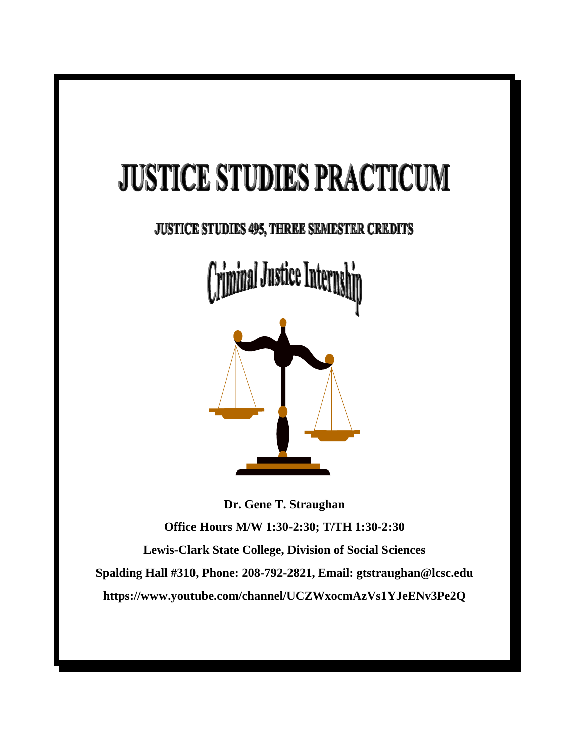## **JUSTICE STUDIES PRACTICUM**

## JUSTICE STUDIES 495, THREE SEMESTER CREDITS

ll Justice Intern



**Dr. Gene T. Straughan Office Hours M/W 1:30-2:30; T/TH 1:30-2:30 Lewis-Clark State College, Division of Social Sciences Spalding Hall #310, Phone: 208-792-2821, Email: gtstraughan@lcsc.edu https://www.youtube.com/channel/UCZWxocmAzVs1YJeENv3Pe2Q**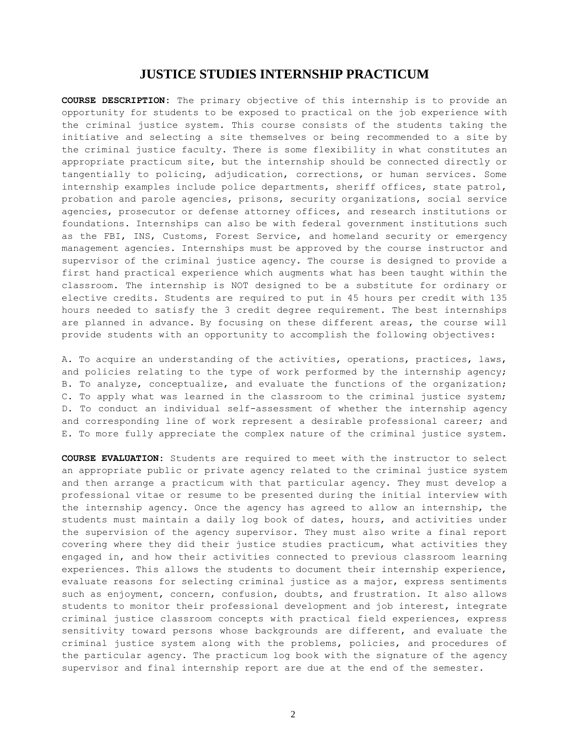## **JUSTICE STUDIES INTERNSHIP PRACTICUM**

**COURSE DESCRIPTION:** The primary objective of this internship is to provide an opportunity for students to be exposed to practical on the job experience with the criminal justice system. This course consists of the students taking the initiative and selecting a site themselves or being recommended to a site by the criminal justice faculty. There is some flexibility in what constitutes an appropriate practicum site, but the internship should be connected directly or tangentially to policing, adjudication, corrections, or human services. Some internship examples include police departments, sheriff offices, state patrol, probation and parole agencies, prisons, security organizations, social service agencies, prosecutor or defense attorney offices, and research institutions or foundations. Internships can also be with federal government institutions such as the FBI, INS, Customs, Forest Service, and homeland security or emergency management agencies. Internships must be approved by the course instructor and supervisor of the criminal justice agency. The course is designed to provide a first hand practical experience which augments what has been taught within the classroom. The internship is NOT designed to be a substitute for ordinary or elective credits. Students are required to put in 45 hours per credit with 135 hours needed to satisfy the 3 credit degree requirement. The best internships are planned in advance. By focusing on these different areas, the course will provide students with an opportunity to accomplish the following objectives:

A. To acquire an understanding of the activities, operations, practices, laws, and policies relating to the type of work performed by the internship agency; B. To analyze, conceptualize, and evaluate the functions of the organization; C. To apply what was learned in the classroom to the criminal justice system; D. To conduct an individual self-assessment of whether the internship agency and corresponding line of work represent a desirable professional career; and E. To more fully appreciate the complex nature of the criminal justice system.

**COURSE EVALUATION:** Students are required to meet with the instructor to select an appropriate public or private agency related to the criminal justice system and then arrange a practicum with that particular agency. They must develop a professional vitae or resume to be presented during the initial interview with the internship agency. Once the agency has agreed to allow an internship, the students must maintain a daily log book of dates, hours, and activities under the supervision of the agency supervisor. They must also write a final report covering where they did their justice studies practicum, what activities they engaged in, and how their activities connected to previous classroom learning experiences. This allows the students to document their internship experience, evaluate reasons for selecting criminal justice as a major, express sentiments such as enjoyment, concern, confusion, doubts, and frustration. It also allows students to monitor their professional development and job interest, integrate criminal justice classroom concepts with practical field experiences, express sensitivity toward persons whose backgrounds are different, and evaluate the criminal justice system along with the problems, policies, and procedures of the particular agency. The practicum log book with the signature of the agency supervisor and final internship report are due at the end of the semester.